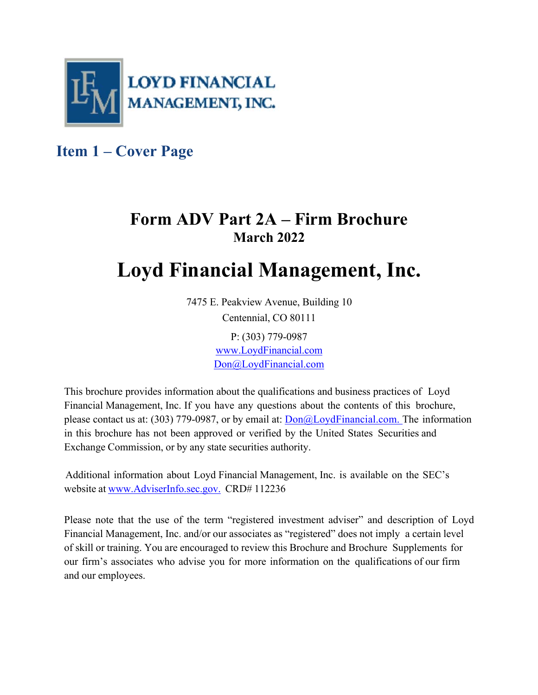

**Item 1 – Cover Page** 

# **Form ADV Part 2A – Firm Brochure March 2022**

# **Loyd Financial Management, Inc.**

7475 E. Peakview Avenue, Building 10 Centennial, CO 80111

> P: (303) 779-0987 www.LoydFinancial.com Don@LoydFinancial.com

This brochure provides information about the qualifications and business practices of Loyd Financial Management, Inc. If you have any questions about the contents of this brochure, please contact us at: (303) 779-0987, or by email at: Don@LoydFinancial.com. The information in this brochure has not been approved or verified by the United States Securities and Exchange Commission, or by any state securities authority.

Additional information about Loyd Financial Management, Inc. is available on the SEC's website at www.AdviserInfo.sec.gov. CRD# 112236

Please note that the use of the term "registered investment adviser" and description of Loyd Financial Management, Inc. and/or our associates as "registered" does not imply a certain level of skill or training. You are encouraged to review this Brochure and Brochure Supplements for our firm's associates who advise you for more information on the qualifications of our firm and our employees.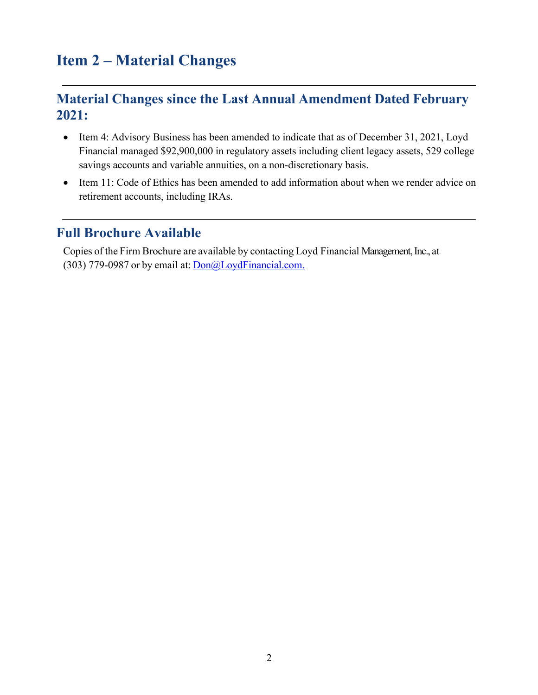# **Item 2 – Material Changes**

## **Material Changes since the Last Annual Amendment Dated February 2021:**

- Item 4: Advisory Business has been amended to indicate that as of December 31, 2021, Loyd Financial managed \$92,900,000 in regulatory assets including client legacy assets, 529 college savings accounts and variable annuities, on a non-discretionary basis.
- Item 11: Code of Ethics has been amended to add information about when we render advice on retirement accounts, including IRAs.

### **Full Brochure Available**

Copies of the Firm Brochure are available by contacting Loyd Financial Management, Inc., at (303) 779-0987 or by email at: Don@LoydFinancial.com.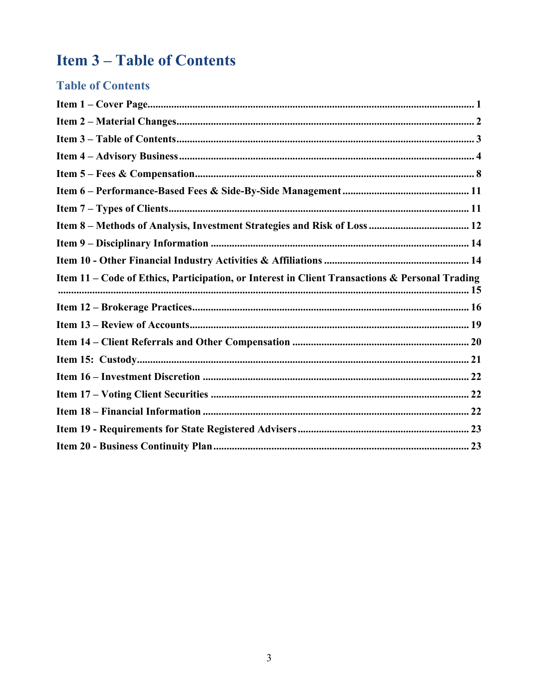# **Item 3-Table of Contents**

## **Table of Contents**

| Item 11 - Code of Ethics, Participation, or Interest in Client Transactions & Personal Trading |  |
|------------------------------------------------------------------------------------------------|--|
|                                                                                                |  |
|                                                                                                |  |
|                                                                                                |  |
|                                                                                                |  |
|                                                                                                |  |
|                                                                                                |  |
|                                                                                                |  |
|                                                                                                |  |
|                                                                                                |  |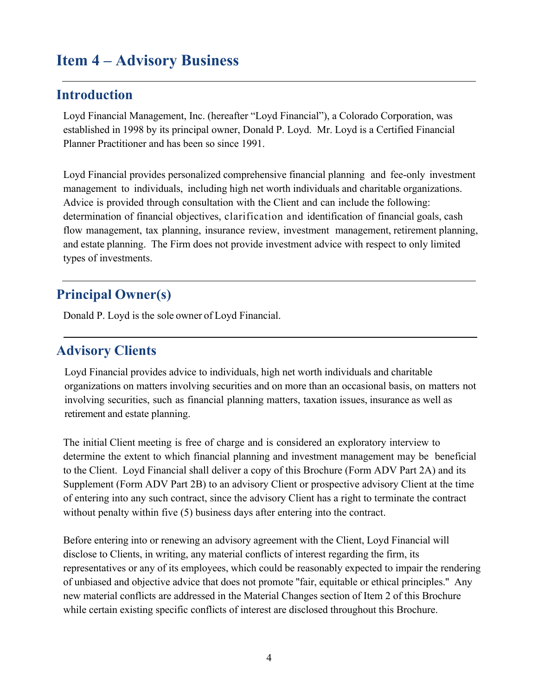## **Item 4 – Advisory Business**

#### **Introduction**

Loyd Financial Management, Inc. (hereafter "Loyd Financial"), a Colorado Corporation, was established in 1998 by its principal owner, Donald P. Loyd. Mr. Loyd is a Certified Financial Planner Practitioner and has been so since 1991.

Loyd Financial provides personalized comprehensive financial planning and fee-only investment management to individuals, including high net worth individuals and charitable organizations. Advice is provided through consultation with the Client and can include the following: determination of financial objectives, clarification and identification of financial goals, cash flow management, tax planning, insurance review, investment management, retirement planning, and estate planning. The Firm does not provide investment advice with respect to only limited types of investments.

## **Principal Owner(s)**

Donald P. Loyd is the sole owner of Loyd Financial.

### **Advisory Clients**

Loyd Financial provides advice to individuals, high net worth individuals and charitable organizations on matters involving securities and on more than an occasional basis, on matters not involving securities, such as financial planning matters, taxation issues, insurance as well as retirement and estate planning.

The initial Client meeting is free of charge and is considered an exploratory interview to determine the extent to which financial planning and investment management may be beneficial to the Client. Loyd Financial shall deliver a copy of this Brochure (Form ADV Part 2A) and its Supplement (Form ADV Part 2B) to an advisory Client or prospective advisory Client at the time of entering into any such contract, since the advisory Client has a right to terminate the contract without penalty within five (5) business days after entering into the contract.

Before entering into or renewing an advisory agreement with the Client, Loyd Financial will disclose to Clients, in writing, any material conflicts of interest regarding the firm, its representatives or any of its employees, which could be reasonably expected to impair the rendering of unbiased and objective advice that does not promote ''fair, equitable or ethical principles.'' Any new material conflicts are addressed in the Material Changes section of Item 2 of this Brochure while certain existing specific conflicts of interest are disclosed throughout this Brochure.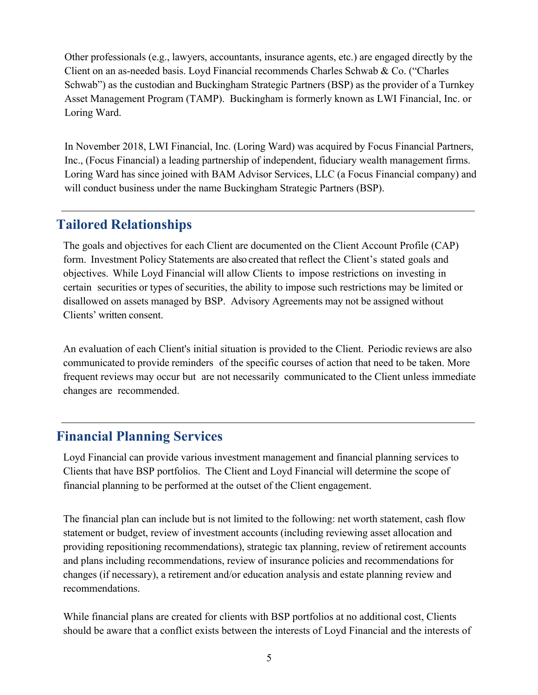Other professionals (e.g., lawyers, accountants, insurance agents, etc.) are engaged directly by the Client on an as-needed basis. Loyd Financial recommends Charles Schwab & Co. ("Charles Schwab") as the custodian and Buckingham Strategic Partners (BSP) as the provider of a Turnkey Asset Management Program (TAMP). Buckingham is formerly known as LWI Financial, Inc. or Loring Ward.

In November 2018, LWI Financial, Inc. (Loring Ward) was acquired by Focus Financial Partners, Inc., (Focus Financial) a leading partnership of independent, fiduciary wealth management firms. Loring Ward has since joined with BAM Advisor Services, LLC (a Focus Financial company) and will conduct business under the name Buckingham Strategic Partners (BSP).

## **Tailored Relationships**

The goals and objectives for each Client are documented on the Client Account Profile (CAP) form. Investment Policy Statements are also created that reflect the Client's stated goals and objectives. While Loyd Financial will allow Clients to impose restrictions on investing in certain securities or types of securities, the ability to impose such restrictions may be limited or disallowed on assets managed by BSP. Advisory Agreements may not be assigned without Clients' written consent.

An evaluation of each Client's initial situation is provided to the Client. Periodic reviews are also communicated to provide reminders of the specific courses of action that need to be taken. More frequent reviews may occur but are not necessarily communicated to the Client unless immediate changes are recommended.

## **Financial Planning Services**

Loyd Financial can provide various investment management and financial planning services to Clients that have BSP portfolios. The Client and Loyd Financial will determine the scope of financial planning to be performed at the outset of the Client engagement.

The financial plan can include but is not limited to the following: net worth statement, cash flow statement or budget, review of investment accounts (including reviewing asset allocation and providing repositioning recommendations), strategic tax planning, review of retirement accounts and plans including recommendations, review of insurance policies and recommendations for changes (if necessary), a retirement and/or education analysis and estate planning review and recommendations.

While financial plans are created for clients with BSP portfolios at no additional cost, Clients should be aware that a conflict exists between the interests of Loyd Financial and the interests of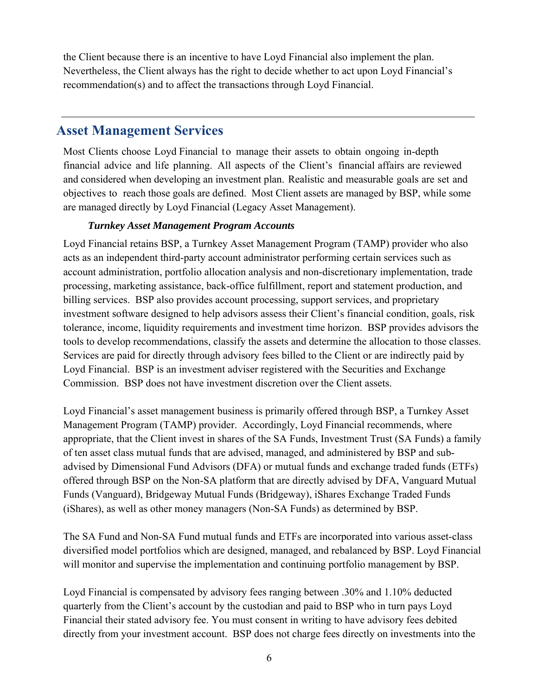the Client because there is an incentive to have Loyd Financial also implement the plan. Nevertheless, the Client always has the right to decide whether to act upon Loyd Financial's recommendation(s) and to affect the transactions through Loyd Financial.

### **Asset Management Services**

Most Clients choose Loyd Financial to manage their assets to obtain ongoing in-depth financial advice and life planning. All aspects of the Client's financial affairs are reviewed and considered when developing an investment plan. Realistic and measurable goals are set and objectives to reach those goals are defined. Most Client assets are managed by BSP, while some are managed directly by Loyd Financial (Legacy Asset Management).

#### *Turnkey Asset Management Program Accounts*

Loyd Financial retains BSP, a Turnkey Asset Management Program (TAMP) provider who also acts as an independent third-party account administrator performing certain services such as account administration, portfolio allocation analysis and non-discretionary implementation, trade processing, marketing assistance, back-office fulfillment, report and statement production, and billing services. BSP also provides account processing, support services, and proprietary investment software designed to help advisors assess their Client's financial condition, goals, risk tolerance, income, liquidity requirements and investment time horizon. BSP provides advisors the tools to develop recommendations, classify the assets and determine the allocation to those classes. Services are paid for directly through advisory fees billed to the Client or are indirectly paid by Loyd Financial. BSP is an investment adviser registered with the Securities and Exchange Commission. BSP does not have investment discretion over the Client assets.

Loyd Financial's asset management business is primarily offered through BSP, a Turnkey Asset Management Program (TAMP) provider. Accordingly, Loyd Financial recommends, where appropriate, that the Client invest in shares of the SA Funds, Investment Trust (SA Funds) a family of ten asset class mutual funds that are advised, managed, and administered by BSP and subadvised by Dimensional Fund Advisors (DFA) or mutual funds and exchange traded funds (ETFs) offered through BSP on the Non-SA platform that are directly advised by DFA, Vanguard Mutual Funds (Vanguard), Bridgeway Mutual Funds (Bridgeway), iShares Exchange Traded Funds (iShares), as well as other money managers (Non-SA Funds) as determined by BSP.

The SA Fund and Non-SA Fund mutual funds and ETFs are incorporated into various asset-class diversified model portfolios which are designed, managed, and rebalanced by BSP. Loyd Financial will monitor and supervise the implementation and continuing portfolio management by BSP.

Loyd Financial is compensated by advisory fees ranging between .30% and 1.10% deducted quarterly from the Client's account by the custodian and paid to BSP who in turn pays Loyd Financial their stated advisory fee. You must consent in writing to have advisory fees debited directly from your investment account. BSP does not charge fees directly on investments into the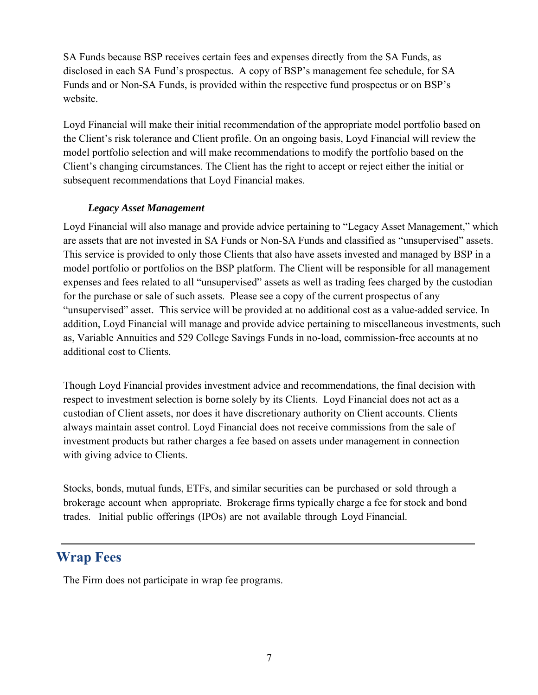SA Funds because BSP receives certain fees and expenses directly from the SA Funds, as disclosed in each SA Fund's prospectus. A copy of BSP's management fee schedule, for SA Funds and or Non-SA Funds, is provided within the respective fund prospectus or on BSP's website.

Loyd Financial will make their initial recommendation of the appropriate model portfolio based on the Client's risk tolerance and Client profile. On an ongoing basis, Loyd Financial will review the model portfolio selection and will make recommendations to modify the portfolio based on the Client's changing circumstances. The Client has the right to accept or reject either the initial or subsequent recommendations that Loyd Financial makes.

#### *Legacy Asset Management*

Loyd Financial will also manage and provide advice pertaining to "Legacy Asset Management," which are assets that are not invested in SA Funds or Non-SA Funds and classified as "unsupervised" assets. This service is provided to only those Clients that also have assets invested and managed by BSP in a model portfolio or portfolios on the BSP platform. The Client will be responsible for all management expenses and fees related to all "unsupervised" assets as well as trading fees charged by the custodian for the purchase or sale of such assets. Please see a copy of the current prospectus of any "unsupervised" asset. This service will be provided at no additional cost as a value-added service. In addition, Loyd Financial will manage and provide advice pertaining to miscellaneous investments, such as, Variable Annuities and 529 College Savings Funds in no-load, commission-free accounts at no additional cost to Clients.

Though Loyd Financial provides investment advice and recommendations, the final decision with respect to investment selection is borne solely by its Clients. Loyd Financial does not act as a custodian of Client assets, nor does it have discretionary authority on Client accounts. Clients always maintain asset control. Loyd Financial does not receive commissions from the sale of investment products but rather charges a fee based on assets under management in connection with giving advice to Clients.

Stocks, bonds, mutual funds, ETFs, and similar securities can be purchased or sold through a brokerage account when appropriate. Brokerage firms typically charge a fee for stock and bond trades. Initial public offerings (IPOs) are not available through Loyd Financial.

### **Wrap Fees**

The Firm does not participate in wrap fee programs.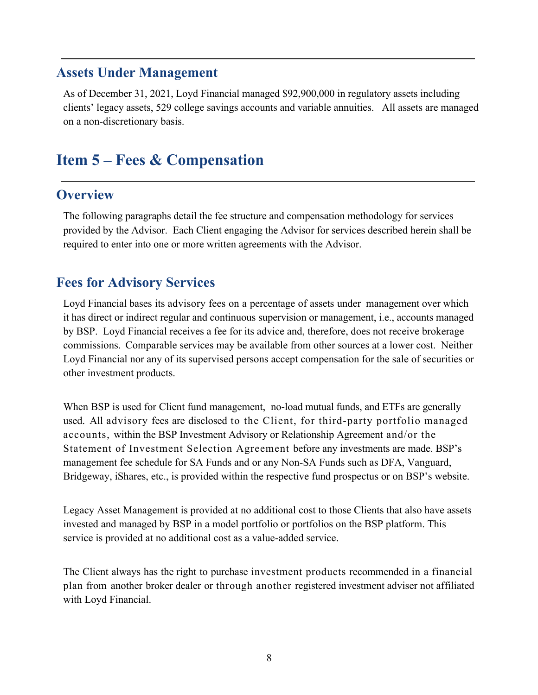#### **Assets Under Management**

As of December 31, 2021, Loyd Financial managed \$92,900,000 in regulatory assets including clients' legacy assets, 529 college savings accounts and variable annuities. All assets are managed on a non-discretionary basis.

## **Item 5 – Fees & Compensation**

### **Overview**

The following paragraphs detail the fee structure and compensation methodology for services provided by the Advisor. Each Client engaging the Advisor for services described herein shall be required to enter into one or more written agreements with the Advisor.

### **Fees for Advisory Services**

Loyd Financial bases its advisory fees on a percentage of assets under management over which it has direct or indirect regular and continuous supervision or management, i.e., accounts managed by BSP. Loyd Financial receives a fee for its advice and, therefore, does not receive brokerage commissions. Comparable services may be available from other sources at a lower cost. Neither Loyd Financial nor any of its supervised persons accept compensation for the sale of securities or other investment products.

When BSP is used for Client fund management, no-load mutual funds, and ETFs are generally used. All advisory fees are disclosed to the Client, for third-party portfolio managed accounts, within the BSP Investment Advisory or Relationship Agreement and/or the Statement of Investment Selection Agreement before any investments are made. BSP's management fee schedule for SA Funds and or any Non-SA Funds such as DFA, Vanguard, Bridgeway, iShares, etc., is provided within the respective fund prospectus or on BSP's website.

Legacy Asset Management is provided at no additional cost to those Clients that also have assets invested and managed by BSP in a model portfolio or portfolios on the BSP platform. This service is provided at no additional cost as a value-added service.

The Client always has the right to purchase investment products recommended in a financial plan from another broker dealer or through another registered investment adviser not affiliated with Loyd Financial.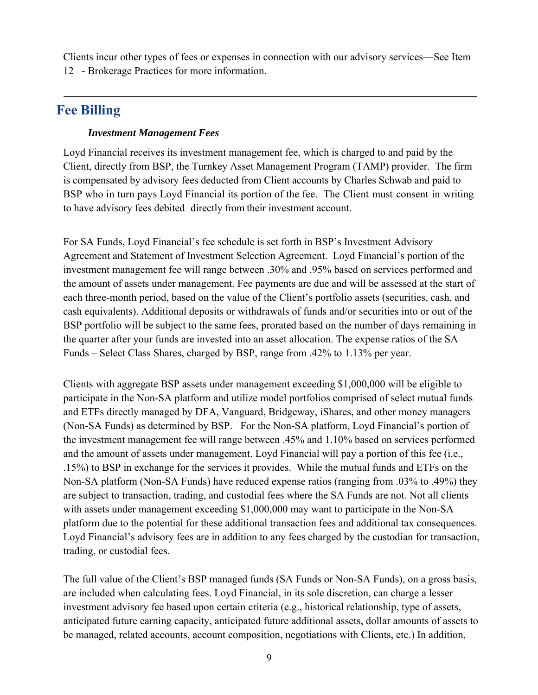Clients incur other types of fees or expenses in connection with our advisory services—See Item 12 - Brokerage Practices for more information.

## **Fee Billing**

#### *Investment Management Fees*

Loyd Financial receives its investment management fee, which is charged to and paid by the Client, directly from BSP, the Turnkey Asset Management Program (TAMP) provider. The firm is compensated by advisory fees deducted from Client accounts by Charles Schwab and paid to BSP who in turn pays Loyd Financial its portion of the fee. The Client must consent in writing to have advisory fees debited directly from their investment account.

For SA Funds, Loyd Financial's fee schedule is set forth in BSP's Investment Advisory Agreement and Statement of Investment Selection Agreement. Loyd Financial's portion of the investment management fee will range between .30% and .95% based on services performed and the amount of assets under management. Fee payments are due and will be assessed at the start of each three-month period, based on the value of the Client's portfolio assets (securities, cash, and cash equivalents). Additional deposits or withdrawals of funds and/or securities into or out of the BSP portfolio will be subject to the same fees, prorated based on the number of days remaining in the quarter after your funds are invested into an asset allocation. The expense ratios of the SA Funds – Select Class Shares, charged by BSP, range from .42% to 1.13% per year.

Clients with aggregate BSP assets under management exceeding \$1,000,000 will be eligible to participate in the Non-SA platform and utilize model portfolios comprised of select mutual funds and ETFs directly managed by DFA, Vanguard, Bridgeway, iShares, and other money managers (Non-SA Funds) as determined by BSP. For the Non-SA platform, Loyd Financial's portion of the investment management fee will range between .45% and 1.10% based on services performed and the amount of assets under management. Loyd Financial will pay a portion of this fee (i.e., .15%) to BSP in exchange for the services it provides. While the mutual funds and ETFs on the Non-SA platform (Non-SA Funds) have reduced expense ratios (ranging from .03% to .49%) they are subject to transaction, trading, and custodial fees where the SA Funds are not. Not all clients with assets under management exceeding \$1,000,000 may want to participate in the Non-SA platform due to the potential for these additional transaction fees and additional tax consequences. Loyd Financial's advisory fees are in addition to any fees charged by the custodian for transaction, trading, or custodial fees.

The full value of the Client's BSP managed funds (SA Funds or Non-SA Funds), on a gross basis, are included when calculating fees. Loyd Financial, in its sole discretion, can charge a lesser investment advisory fee based upon certain criteria (e.g., historical relationship, type of assets, anticipated future earning capacity, anticipated future additional assets, dollar amounts of assets to be managed, related accounts, account composition, negotiations with Clients, etc.) In addition,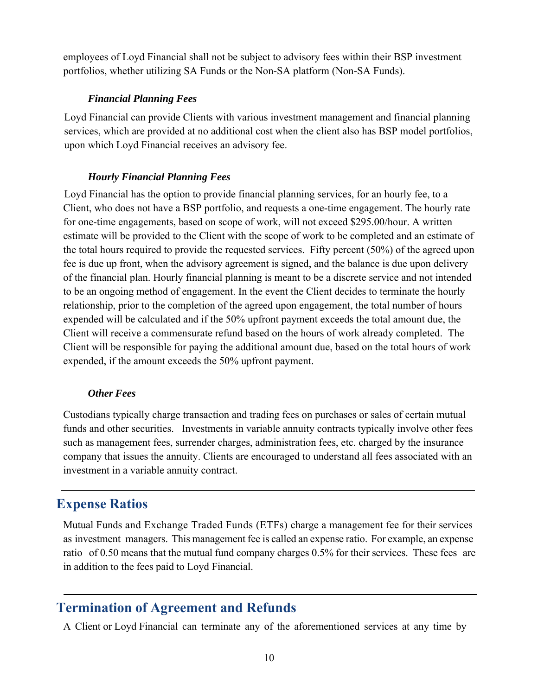employees of Loyd Financial shall not be subject to advisory fees within their BSP investment portfolios, whether utilizing SA Funds or the Non-SA platform (Non-SA Funds).

#### *Financial Planning Fees*

Loyd Financial can provide Clients with various investment management and financial planning services, which are provided at no additional cost when the client also has BSP model portfolios, upon which Loyd Financial receives an advisory fee.

#### *Hourly Financial Planning Fees*

Loyd Financial has the option to provide financial planning services, for an hourly fee, to a Client, who does not have a BSP portfolio, and requests a one-time engagement. The hourly rate for one-time engagements, based on scope of work, will not exceed \$295.00/hour. A written estimate will be provided to the Client with the scope of work to be completed and an estimate of the total hours required to provide the requested services. Fifty percent (50%) of the agreed upon fee is due up front, when the advisory agreement is signed, and the balance is due upon delivery of the financial plan. Hourly financial planning is meant to be a discrete service and not intended to be an ongoing method of engagement. In the event the Client decides to terminate the hourly relationship, prior to the completion of the agreed upon engagement, the total number of hours expended will be calculated and if the 50% upfront payment exceeds the total amount due, the Client will receive a commensurate refund based on the hours of work already completed. The Client will be responsible for paying the additional amount due, based on the total hours of work expended, if the amount exceeds the 50% upfront payment.

#### *Other Fees*

Custodians typically charge transaction and trading fees on purchases or sales of certain mutual funds and other securities. Investments in variable annuity contracts typically involve other fees such as management fees, surrender charges, administration fees, etc. charged by the insurance company that issues the annuity. Clients are encouraged to understand all fees associated with an investment in a variable annuity contract.

### **Expense Ratios**

Mutual Funds and Exchange Traded Funds (ETFs) charge a management fee for their services as investment managers. This management fee is called an expense ratio. For example, an expense ratio of 0.50 means that the mutual fund company charges 0.5% for their services. These fees are in addition to the fees paid to Loyd Financial.

### **Termination of Agreement and Refunds**

A Client or Loyd Financial can terminate any of the aforementioned services at any time by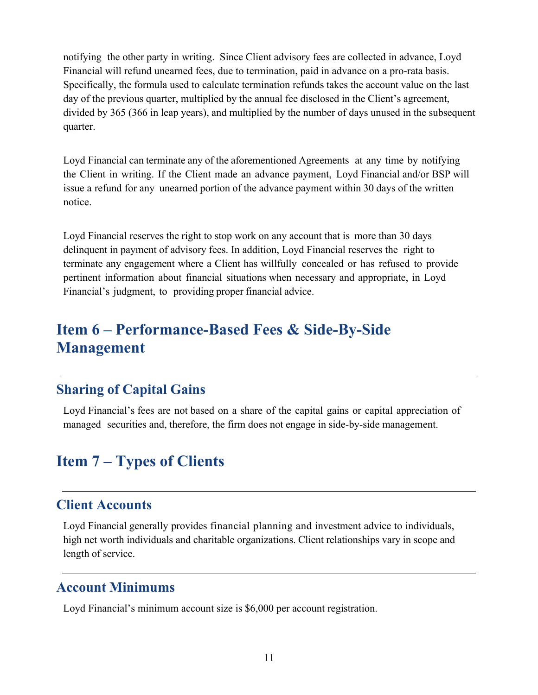notifying the other party in writing. Since Client advisory fees are collected in advance, Loyd Financial will refund unearned fees, due to termination, paid in advance on a pro-rata basis. Specifically, the formula used to calculate termination refunds takes the account value on the last day of the previous quarter, multiplied by the annual fee disclosed in the Client's agreement, divided by 365 (366 in leap years), and multiplied by the number of days unused in the subsequent quarter.

Loyd Financial can terminate any of the aforementioned Agreements at any time by notifying the Client in writing. If the Client made an advance payment, Loyd Financial and/or BSP will issue a refund for any unearned portion of the advance payment within 30 days of the written notice.

Loyd Financial reserves the right to stop work on any account that is more than 30 days delinquent in payment of advisory fees. In addition, Loyd Financial reserves the right to terminate any engagement where a Client has willfully concealed or has refused to provide pertinent information about financial situations when necessary and appropriate, in Loyd Financial's judgment, to providing proper financial advice.

## **Item 6 – Performance-Based Fees & Side-By-Side Management**

## **Sharing of Capital Gains**

Loyd Financial's fees are not based on a share of the capital gains or capital appreciation of managed securities and, therefore, the firm does not engage in side-by-side management.

# **Item 7 – Types of Clients**

### **Client Accounts**

Loyd Financial generally provides financial planning and investment advice to individuals, high net worth individuals and charitable organizations. Client relationships vary in scope and length of service.

## **Account Minimums**

Loyd Financial's minimum account size is \$6,000 per account registration.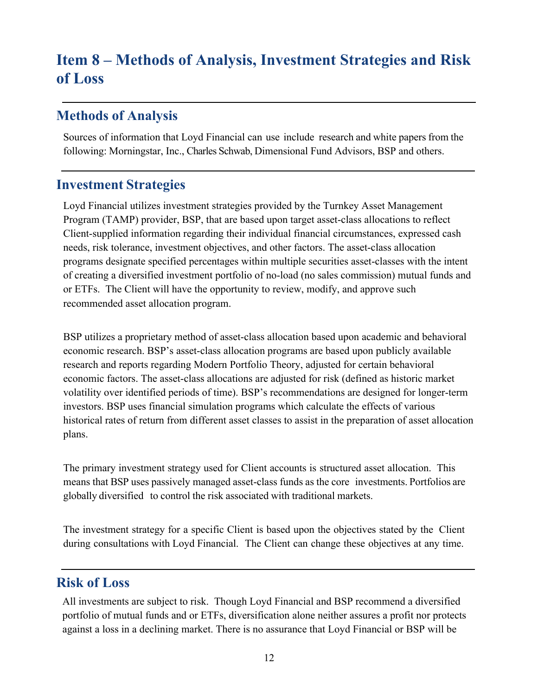# **Item 8 – Methods of Analysis, Investment Strategies and Risk of Loss**

### **Methods of Analysis**

Sources of information that Loyd Financial can use include research and white papers from the following: Morningstar, Inc., Charles Schwab, Dimensional Fund Advisors, BSP and others.

#### **Investment Strategies**

Loyd Financial utilizes investment strategies provided by the Turnkey Asset Management Program (TAMP) provider, BSP, that are based upon target asset-class allocations to reflect Client-supplied information regarding their individual financial circumstances, expressed cash needs, risk tolerance, investment objectives, and other factors. The asset-class allocation programs designate specified percentages within multiple securities asset-classes with the intent of creating a diversified investment portfolio of no-load (no sales commission) mutual funds and or ETFs. The Client will have the opportunity to review, modify, and approve such recommended asset allocation program.

BSP utilizes a proprietary method of asset-class allocation based upon academic and behavioral economic research. BSP's asset-class allocation programs are based upon publicly available research and reports regarding Modern Portfolio Theory, adjusted for certain behavioral economic factors. The asset-class allocations are adjusted for risk (defined as historic market volatility over identified periods of time). BSP's recommendations are designed for longer-term investors. BSP uses financial simulation programs which calculate the effects of various historical rates of return from different asset classes to assist in the preparation of asset allocation plans.

The primary investment strategy used for Client accounts is structured asset allocation. This means that BSP uses passively managed asset-class funds as the core investments. Portfolios are globally diversified to control the risk associated with traditional markets.

The investment strategy for a specific Client is based upon the objectives stated by the Client during consultations with Loyd Financial. The Client can change these objectives at any time.

## **Risk of Loss**

All investments are subject to risk. Though Loyd Financial and BSP recommend a diversified portfolio of mutual funds and or ETFs, diversification alone neither assures a profit nor protects against a loss in a declining market. There is no assurance that Loyd Financial or BSP will be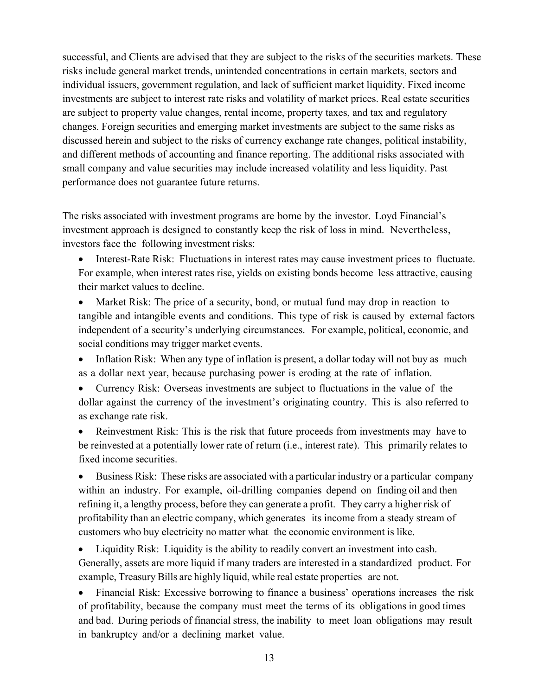successful, and Clients are advised that they are subject to the risks of the securities markets. These risks include general market trends, unintended concentrations in certain markets, sectors and individual issuers, government regulation, and lack of sufficient market liquidity. Fixed income investments are subject to interest rate risks and volatility of market prices. Real estate securities are subject to property value changes, rental income, property taxes, and tax and regulatory changes. Foreign securities and emerging market investments are subject to the same risks as discussed herein and subject to the risks of currency exchange rate changes, political instability, and different methods of accounting and finance reporting. The additional risks associated with small company and value securities may include increased volatility and less liquidity. Past performance does not guarantee future returns.

The risks associated with investment programs are borne by the investor. Loyd Financial's investment approach is designed to constantly keep the risk of loss in mind. Nevertheless, investors face the following investment risks:

 Interest-Rate Risk: Fluctuations in interest rates may cause investment prices to fluctuate. For example, when interest rates rise, yields on existing bonds become less attractive, causing their market values to decline.

• Market Risk: The price of a security, bond, or mutual fund may drop in reaction to tangible and intangible events and conditions. This type of risk is caused by external factors independent of a security's underlying circumstances. For example, political, economic, and social conditions may trigger market events.

• Inflation Risk: When any type of inflation is present, a dollar today will not buy as much as a dollar next year, because purchasing power is eroding at the rate of inflation.

 Currency Risk: Overseas investments are subject to fluctuations in the value of the dollar against the currency of the investment's originating country. This is also referred to as exchange rate risk.

 Reinvestment Risk: This is the risk that future proceeds from investments may have to be reinvested at a potentially lower rate of return (i.e., interest rate). This primarily relates to fixed income securities.

 Business Risk: These risks are associated with a particular industry or a particular company within an industry. For example, oil-drilling companies depend on finding oil and then refining it, a lengthy process, before they can generate a profit. They carry a higher risk of profitability than an electric company, which generates its income from a steady stream of customers who buy electricity no matter what the economic environment is like.

 Liquidity Risk: Liquidity is the ability to readily convert an investment into cash. Generally, assets are more liquid if many traders are interested in a standardized product. For example, Treasury Bills are highly liquid, while real estate properties are not.

 Financial Risk: Excessive borrowing to finance a business' operations increases the risk of profitability, because the company must meet the terms of its obligations in good times and bad. During periods of financial stress, the inability to meet loan obligations may result in bankruptcy and/or a declining market value.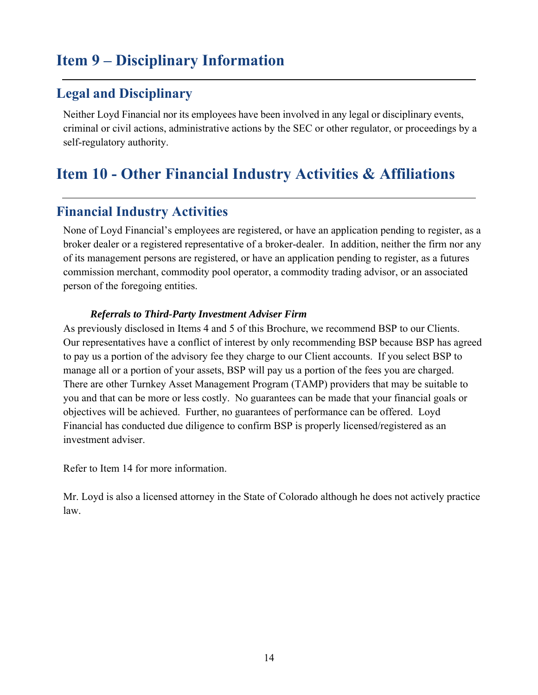# **Item 9 – Disciplinary Information**

## **Legal and Disciplinary**

Neither Loyd Financial nor its employees have been involved in any legal or disciplinary events, criminal or civil actions, administrative actions by the SEC or other regulator, or proceedings by a self-regulatory authority.

# **Item 10 - Other Financial Industry Activities & Affiliations**

## **Financial Industry Activities**

None of Loyd Financial's employees are registered, or have an application pending to register, as a broker dealer or a registered representative of a broker-dealer. In addition, neither the firm nor any of its management persons are registered, or have an application pending to register, as a futures commission merchant, commodity pool operator, a commodity trading advisor, or an associated person of the foregoing entities.

#### *Referrals to Third-Party Investment Adviser Firm*

As previously disclosed in Items 4 and 5 of this Brochure, we recommend BSP to our Clients. Our representatives have a conflict of interest by only recommending BSP because BSP has agreed to pay us a portion of the advisory fee they charge to our Client accounts. If you select BSP to manage all or a portion of your assets, BSP will pay us a portion of the fees you are charged. There are other Turnkey Asset Management Program (TAMP) providers that may be suitable to you and that can be more or less costly. No guarantees can be made that your financial goals or objectives will be achieved. Further, no guarantees of performance can be offered. Loyd Financial has conducted due diligence to confirm BSP is properly licensed/registered as an investment adviser.

Refer to Item 14 for more information.

Mr. Loyd is also a licensed attorney in the State of Colorado although he does not actively practice law.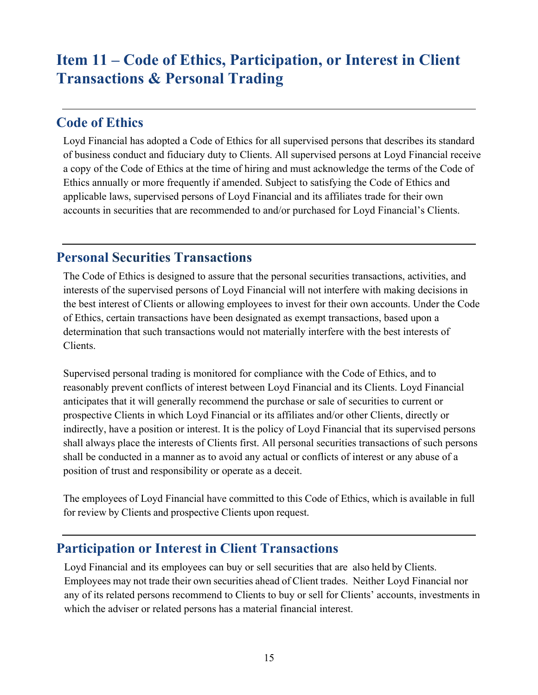# **Item 11 – Code of Ethics, Participation, or Interest in Client Transactions & Personal Trading**

### **Code of Ethics**

Loyd Financial has adopted a Code of Ethics for all supervised persons that describes its standard of business conduct and fiduciary duty to Clients. All supervised persons at Loyd Financial receive a copy of the Code of Ethics at the time of hiring and must acknowledge the terms of the Code of Ethics annually or more frequently if amended. Subject to satisfying the Code of Ethics and applicable laws, supervised persons of Loyd Financial and its affiliates trade for their own accounts in securities that are recommended to and/or purchased for Loyd Financial's Clients.

## **Personal Securities Transactions**

The Code of Ethics is designed to assure that the personal securities transactions, activities, and interests of the supervised persons of Loyd Financial will not interfere with making decisions in the best interest of Clients or allowing employees to invest for their own accounts. Under the Code of Ethics, certain transactions have been designated as exempt transactions, based upon a determination that such transactions would not materially interfere with the best interests of Clients.

Supervised personal trading is monitored for compliance with the Code of Ethics, and to reasonably prevent conflicts of interest between Loyd Financial and its Clients. Loyd Financial anticipates that it will generally recommend the purchase or sale of securities to current or prospective Clients in which Loyd Financial or its affiliates and/or other Clients, directly or indirectly, have a position or interest. It is the policy of Loyd Financial that its supervised persons shall always place the interests of Clients first. All personal securities transactions of such persons shall be conducted in a manner as to avoid any actual or conflicts of interest or any abuse of a position of trust and responsibility or operate as a deceit.

The employees of Loyd Financial have committed to this Code of Ethics, which is available in full for review by Clients and prospective Clients upon request.

## **Participation or Interest in Client Transactions**

Loyd Financial and its employees can buy or sell securities that are also held by Clients. Employees may not trade their own securities ahead of Client trades. Neither Loyd Financial nor any of its related persons recommend to Clients to buy or sell for Clients' accounts, investments in which the adviser or related persons has a material financial interest.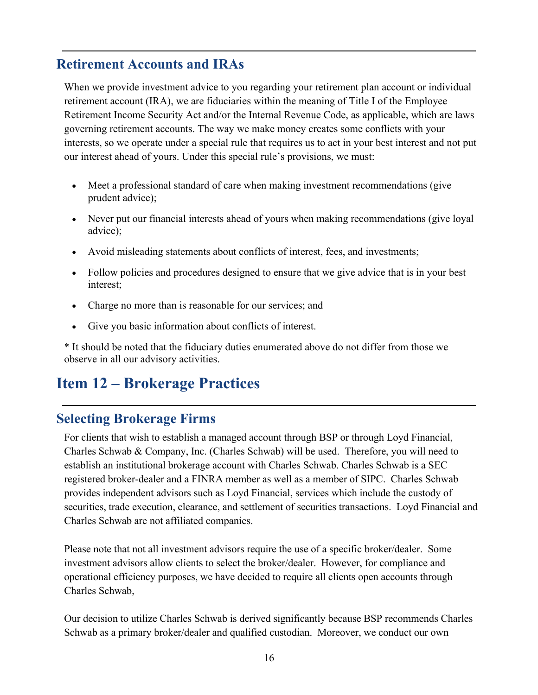## **Retirement Accounts and IRAs**

When we provide investment advice to you regarding your retirement plan account or individual retirement account (IRA), we are fiduciaries within the meaning of Title I of the Employee Retirement Income Security Act and/or the Internal Revenue Code, as applicable, which are laws governing retirement accounts. The way we make money creates some conflicts with your interests, so we operate under a special rule that requires us to act in your best interest and not put our interest ahead of yours. Under this special rule's provisions, we must:

- Meet a professional standard of care when making investment recommendations (give prudent advice);
- Never put our financial interests ahead of yours when making recommendations (give loyal advice);
- Avoid misleading statements about conflicts of interest, fees, and investments;
- Follow policies and procedures designed to ensure that we give advice that is in your best interest;
- Charge no more than is reasonable for our services; and
- Give you basic information about conflicts of interest.

\* It should be noted that the fiduciary duties enumerated above do not differ from those we observe in all our advisory activities.

# **Item 12 – Brokerage Practices**

## **Selecting Brokerage Firms**

For clients that wish to establish a managed account through BSP or through Loyd Financial, Charles Schwab & Company, Inc. (Charles Schwab) will be used. Therefore, you will need to establish an institutional brokerage account with Charles Schwab. Charles Schwab is a SEC registered broker-dealer and a FINRA member as well as a member of SIPC. Charles Schwab provides independent advisors such as Loyd Financial, services which include the custody of securities, trade execution, clearance, and settlement of securities transactions. Loyd Financial and Charles Schwab are not affiliated companies.

Please note that not all investment advisors require the use of a specific broker/dealer. Some investment advisors allow clients to select the broker/dealer. However, for compliance and operational efficiency purposes, we have decided to require all clients open accounts through Charles Schwab,

Our decision to utilize Charles Schwab is derived significantly because BSP recommends Charles Schwab as a primary broker/dealer and qualified custodian. Moreover, we conduct our own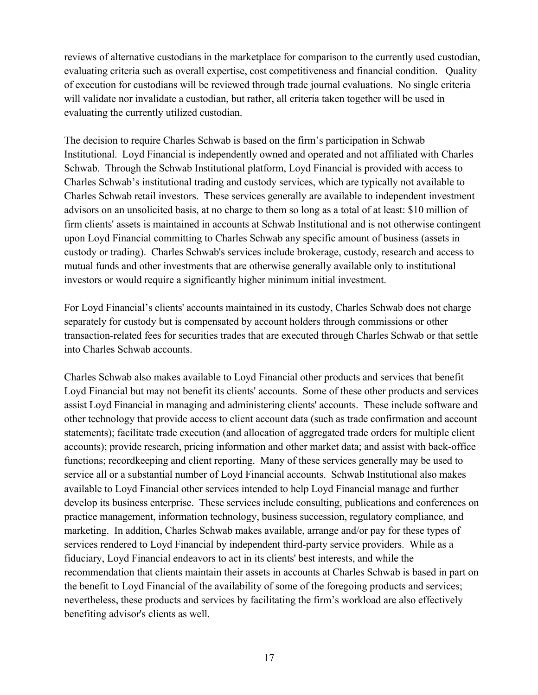reviews of alternative custodians in the marketplace for comparison to the currently used custodian, evaluating criteria such as overall expertise, cost competitiveness and financial condition. Quality of execution for custodians will be reviewed through trade journal evaluations. No single criteria will validate nor invalidate a custodian, but rather, all criteria taken together will be used in evaluating the currently utilized custodian.

The decision to require Charles Schwab is based on the firm's participation in Schwab Institutional. Loyd Financial is independently owned and operated and not affiliated with Charles Schwab. Through the Schwab Institutional platform, Loyd Financial is provided with access to Charles Schwab's institutional trading and custody services, which are typically not available to Charles Schwab retail investors. These services generally are available to independent investment advisors on an unsolicited basis, at no charge to them so long as a total of at least: \$10 million of firm clients' assets is maintained in accounts at Schwab Institutional and is not otherwise contingent upon Loyd Financial committing to Charles Schwab any specific amount of business (assets in custody or trading). Charles Schwab's services include brokerage, custody, research and access to mutual funds and other investments that are otherwise generally available only to institutional investors or would require a significantly higher minimum initial investment.

For Loyd Financial's clients' accounts maintained in its custody, Charles Schwab does not charge separately for custody but is compensated by account holders through commissions or other transaction-related fees for securities trades that are executed through Charles Schwab or that settle into Charles Schwab accounts.

Charles Schwab also makes available to Loyd Financial other products and services that benefit Loyd Financial but may not benefit its clients' accounts. Some of these other products and services assist Loyd Financial in managing and administering clients' accounts. These include software and other technology that provide access to client account data (such as trade confirmation and account statements); facilitate trade execution (and allocation of aggregated trade orders for multiple client accounts); provide research, pricing information and other market data; and assist with back-office functions; recordkeeping and client reporting. Many of these services generally may be used to service all or a substantial number of Loyd Financial accounts. Schwab Institutional also makes available to Loyd Financial other services intended to help Loyd Financial manage and further develop its business enterprise. These services include consulting, publications and conferences on practice management, information technology, business succession, regulatory compliance, and marketing. In addition, Charles Schwab makes available, arrange and/or pay for these types of services rendered to Loyd Financial by independent third-party service providers. While as a fiduciary, Loyd Financial endeavors to act in its clients' best interests, and while the recommendation that clients maintain their assets in accounts at Charles Schwab is based in part on the benefit to Loyd Financial of the availability of some of the foregoing products and services; nevertheless, these products and services by facilitating the firm's workload are also effectively benefiting advisor's clients as well.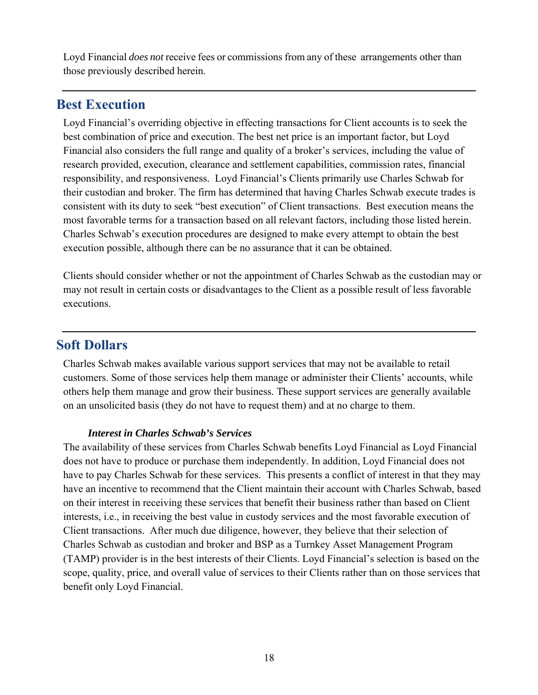Loyd Financial *does not* receive fees or commissions from any of these arrangements other than those previously described herein.

### **Best Execution**

Loyd Financial's overriding objective in effecting transactions for Client accounts is to seek the best combination of price and execution. The best net price is an important factor, but Loyd Financial also considers the full range and quality of a broker's services, including the value of research provided, execution, clearance and settlement capabilities, commission rates, financial responsibility, and responsiveness. Loyd Financial's Clients primarily use Charles Schwab for their custodian and broker. The firm has determined that having Charles Schwab execute trades is consistent with its duty to seek "best execution" of Client transactions. Best execution means the most favorable terms for a transaction based on all relevant factors, including those listed herein. Charles Schwab's execution procedures are designed to make every attempt to obtain the best execution possible, although there can be no assurance that it can be obtained.

Clients should consider whether or not the appointment of Charles Schwab as the custodian may or may not result in certain costs or disadvantages to the Client as a possible result of less favorable executions.

### **Soft Dollars**

Charles Schwab makes available various support services that may not be available to retail customers. Some of those services help them manage or administer their Clients' accounts, while others help them manage and grow their business. These support services are generally available on an unsolicited basis (they do not have to request them) and at no charge to them.

#### *Interest in Charles Schwab's Services*

The availability of these services from Charles Schwab benefits Loyd Financial as Loyd Financial does not have to produce or purchase them independently. In addition, Loyd Financial does not have to pay Charles Schwab for these services. This presents a conflict of interest in that they may have an incentive to recommend that the Client maintain their account with Charles Schwab, based on their interest in receiving these services that benefit their business rather than based on Client interests, i.e., in receiving the best value in custody services and the most favorable execution of Client transactions. After much due diligence, however, they believe that their selection of Charles Schwab as custodian and broker and BSP as a Turnkey Asset Management Program (TAMP) provider is in the best interests of their Clients. Loyd Financial's selection is based on the scope, quality, price, and overall value of services to their Clients rather than on those services that benefit only Loyd Financial.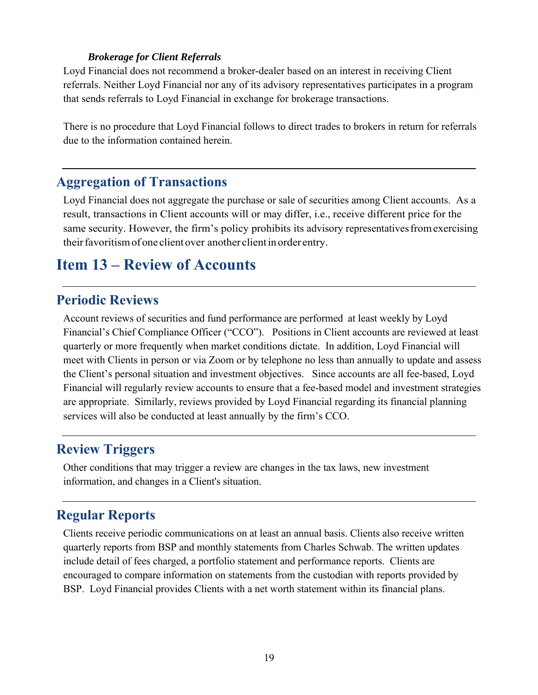#### *Brokerage for Client Referrals*

Loyd Financial does not recommend a broker-dealer based on an interest in receiving Client referrals. Neither Loyd Financial nor any of its advisory representatives participates in a program that sends referrals to Loyd Financial in exchange for brokerage transactions.

There is no procedure that Loyd Financial follows to direct trades to brokers in return for referrals due to the information contained herein.

#### **Aggregation of Transactions**

Loyd Financial does not aggregate the purchase or sale of securities among Client accounts. As a result, transactions in Client accounts will or may differ, i.e., receive different price for the same security. However, the firm's policy prohibits its advisory representatives from exercising their favoritism of one client over another client in order entry.

## **Item 13 – Review of Accounts**

#### **Periodic Reviews**

Account reviews of securities and fund performance are performed at least weekly by Loyd Financial's Chief Compliance Officer ("CCO"). Positions in Client accounts are reviewed at least quarterly or more frequently when market conditions dictate. In addition, Loyd Financial will meet with Clients in person or via Zoom or by telephone no less than annually to update and assess the Client's personal situation and investment objectives. Since accounts are all fee-based, Loyd Financial will regularly review accounts to ensure that a fee-based model and investment strategies are appropriate. Similarly, reviews provided by Loyd Financial regarding its financial planning services will also be conducted at least annually by the firm's CCO.

### **Review Triggers**

Other conditions that may trigger a review are changes in the tax laws, new investment information, and changes in a Client's situation.

### **Regular Reports**

Clients receive periodic communications on at least an annual basis. Clients also receive written quarterly reports from BSP and monthly statements from Charles Schwab. The written updates include detail of fees charged, a portfolio statement and performance reports. Clients are encouraged to compare information on statements from the custodian with reports provided by BSP. Loyd Financial provides Clients with a net worth statement within its financial plans.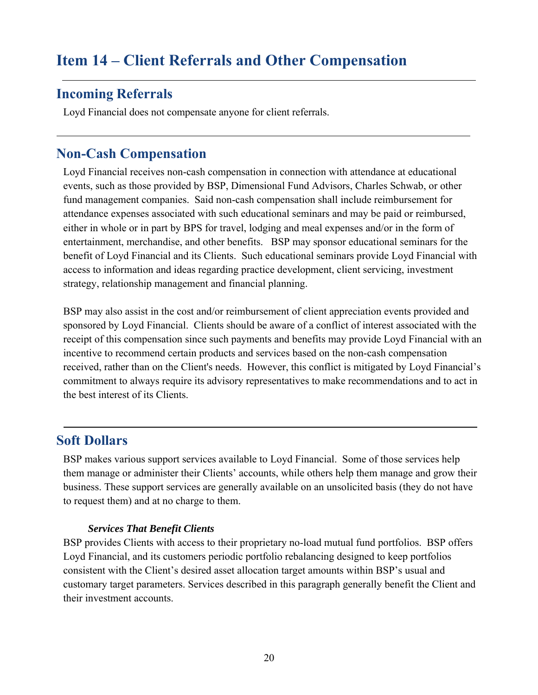# **Item 14 – Client Referrals and Other Compensation**

### **Incoming Referrals**

Loyd Financial does not compensate anyone for client referrals.

### **Non-Cash Compensation**

Loyd Financial receives non-cash compensation in connection with attendance at educational events, such as those provided by BSP, Dimensional Fund Advisors, Charles Schwab, or other fund management companies. Said non-cash compensation shall include reimbursement for attendance expenses associated with such educational seminars and may be paid or reimbursed, either in whole or in part by BPS for travel, lodging and meal expenses and/or in the form of entertainment, merchandise, and other benefits. BSP may sponsor educational seminars for the benefit of Loyd Financial and its Clients. Such educational seminars provide Loyd Financial with access to information and ideas regarding practice development, client servicing, investment strategy, relationship management and financial planning.

BSP may also assist in the cost and/or reimbursement of client appreciation events provided and sponsored by Loyd Financial. Clients should be aware of a conflict of interest associated with the receipt of this compensation since such payments and benefits may provide Loyd Financial with an incentive to recommend certain products and services based on the non-cash compensation received, rather than on the Client's needs. However, this conflict is mitigated by Loyd Financial's commitment to always require its advisory representatives to make recommendations and to act in the best interest of its Clients.

#### **Soft Dollars**

BSP makes various support services available to Loyd Financial. Some of those services help them manage or administer their Clients' accounts, while others help them manage and grow their business. These support services are generally available on an unsolicited basis (they do not have to request them) and at no charge to them.

#### *Services That Benefit Clients*

BSP provides Clients with access to their proprietary no-load mutual fund portfolios. BSP offers Loyd Financial, and its customers periodic portfolio rebalancing designed to keep portfolios consistent with the Client's desired asset allocation target amounts within BSP's usual and customary target parameters. Services described in this paragraph generally benefit the Client and their investment accounts.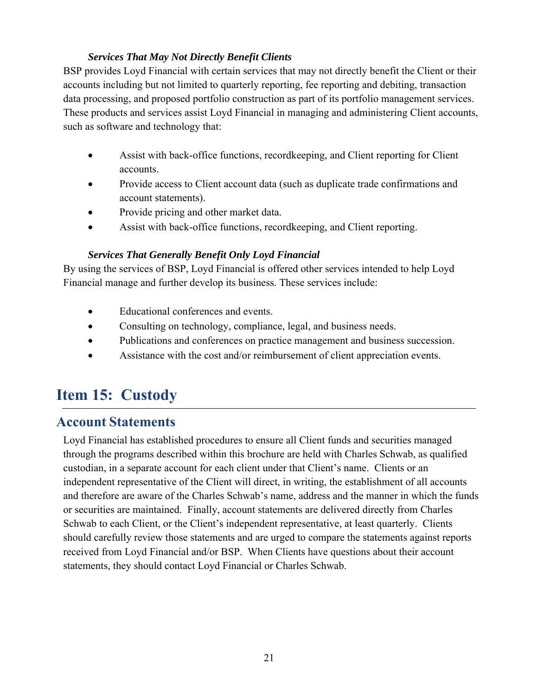#### *Services That May Not Directly Benefit Clients*

BSP provides Loyd Financial with certain services that may not directly benefit the Client or their accounts including but not limited to quarterly reporting, fee reporting and debiting, transaction data processing, and proposed portfolio construction as part of its portfolio management services. These products and services assist Loyd Financial in managing and administering Client accounts, such as software and technology that:

- Assist with back-office functions, recordkeeping, and Client reporting for Client accounts.
- Provide access to Client account data (such as duplicate trade confirmations and account statements).
- Provide pricing and other market data.
- Assist with back-office functions, recordkeeping, and Client reporting.

#### *Services That Generally Benefit Only Loyd Financial*

By using the services of BSP, Loyd Financial is offered other services intended to help Loyd Financial manage and further develop its business. These services include:

- Educational conferences and events.
- Consulting on technology, compliance, legal, and business needs.
- Publications and conferences on practice management and business succession.
- Assistance with the cost and/or reimbursement of client appreciation events.

# **Item 15: Custody**

## **Account Statements**

Loyd Financial has established procedures to ensure all Client funds and securities managed through the programs described within this brochure are held with Charles Schwab, as qualified custodian, in a separate account for each client under that Client's name. Clients or an independent representative of the Client will direct, in writing, the establishment of all accounts and therefore are aware of the Charles Schwab's name, address and the manner in which the funds or securities are maintained. Finally, account statements are delivered directly from Charles Schwab to each Client, or the Client's independent representative, at least quarterly. Clients should carefully review those statements and are urged to compare the statements against reports received from Loyd Financial and/or BSP. When Clients have questions about their account statements, they should contact Loyd Financial or Charles Schwab.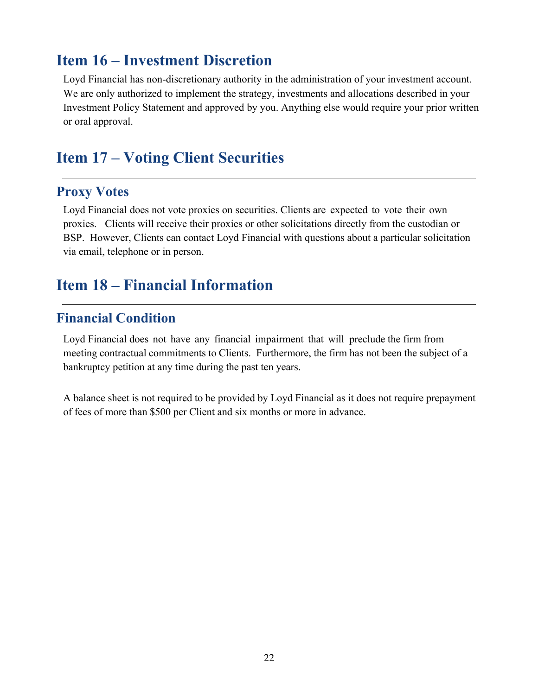## **Item 16 – Investment Discretion**

Loyd Financial has non-discretionary authority in the administration of your investment account. We are only authorized to implement the strategy, investments and allocations described in your Investment Policy Statement and approved by you. Anything else would require your prior written or oral approval.

## **Item 17 – Voting Client Securities**

### **Proxy Votes**

Loyd Financial does not vote proxies on securities. Clients are expected to vote their own proxies. Clients will receive their proxies or other solicitations directly from the custodian or BSP. However, Clients can contact Loyd Financial with questions about a particular solicitation via email, telephone or in person.

## **Item 18 – Financial Information**

### **Financial Condition**

Loyd Financial does not have any financial impairment that will preclude the firm from meeting contractual commitments to Clients. Furthermore, the firm has not been the subject of a bankruptcy petition at any time during the past ten years.

A balance sheet is not required to be provided by Loyd Financial as it does not require prepayment of fees of more than \$500 per Client and six months or more in advance.